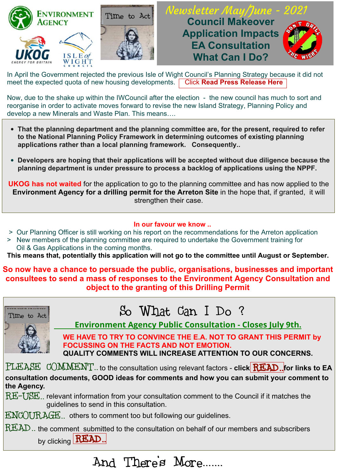



## **AGENCY AGENCY COUNCIL MAKEOVER EA Consultation<br>?What Can I Do Council Makeover EA Consultation**



In April the Government rejected the previous Isle of Wight Council's Planning Strategy because it did not meet the expected quota of new housing developments. Click **[Read Press Release Here](https://www.countypress.co.uk/news/19216607.happens-now-isle-wight-failed-housing-targets/)**

Now, due to the shake up within the IWCouncil after the election - the new council has much to sort and reorganise in order to activate moves forward to revise the new Island Strategy, Planning Policy and develop a new Minerals and Waste Plan. This means….

- **That the planning department and the planning committee are, for the present, required to refer to the National Planning Policy Framework in determining outcomes of existing planning applications rather than a local planning framework. Consequently..**
- **Developers are hoping that their applications will be accepted without due diligence because the planning department is under pressure to process a backlog of applications using the NPPF.**

**UKOG has not waited** for the application to go to the planning committee and has now applied to the **Environment Agency for a drilling permit for the Arreton Site** in the hope that, if granted, it will strengthen their case.

#### **In our favour we know ..**

- > Our Planning Officer is still working on his report on the recommendations for the Arreton application
- > New members of the planning committee are required to undertake the Government training for Oil & Gas Applications in the coming months.

**This means that, potentially this application will not go to the committee until August or September.**

**So now have a chance to persuade the public, organisations, businesses and important consultees to send a mass of responses to the Environment Agency Consultation and object to the granting of this Drilling Permit** 

| So What Can I Do ?<br>Time to Act<br><b>Environment Agency Public Consultation - Closes July 9th.</b><br>WE HAVE TO TRY TO CONVINCE THE E.A. NOT TO GRANT THIS PERMIT by<br><b>FOCUSSING ON THE FACTS AND NOT EMOTION.</b><br><b>QUALITY COMMENTS WILL INCREASE ATTENTION TO OUR CONCERNS.</b> |
|------------------------------------------------------------------------------------------------------------------------------------------------------------------------------------------------------------------------------------------------------------------------------------------------|
| PLEASE COMMENT to the consultation using relevant factors - click READ. for links to EA                                                                                                                                                                                                        |
| consultation documents, GOOD ideas for comments and how you can submit your comment to                                                                                                                                                                                                         |
| the Agency.                                                                                                                                                                                                                                                                                    |
| RE-USE relevant information from your consultation comment to the Council if it matches the<br>guidelines to send in this consultation.                                                                                                                                                        |
| ENCOURAGE others to comment too but following our guidelines.                                                                                                                                                                                                                                  |
| $READ$ the comment submitted to the consultation on behalf of our members and subscribers                                                                                                                                                                                                      |
| by clicking                                                                                                                                                                                                                                                                                    |

And There's More.......